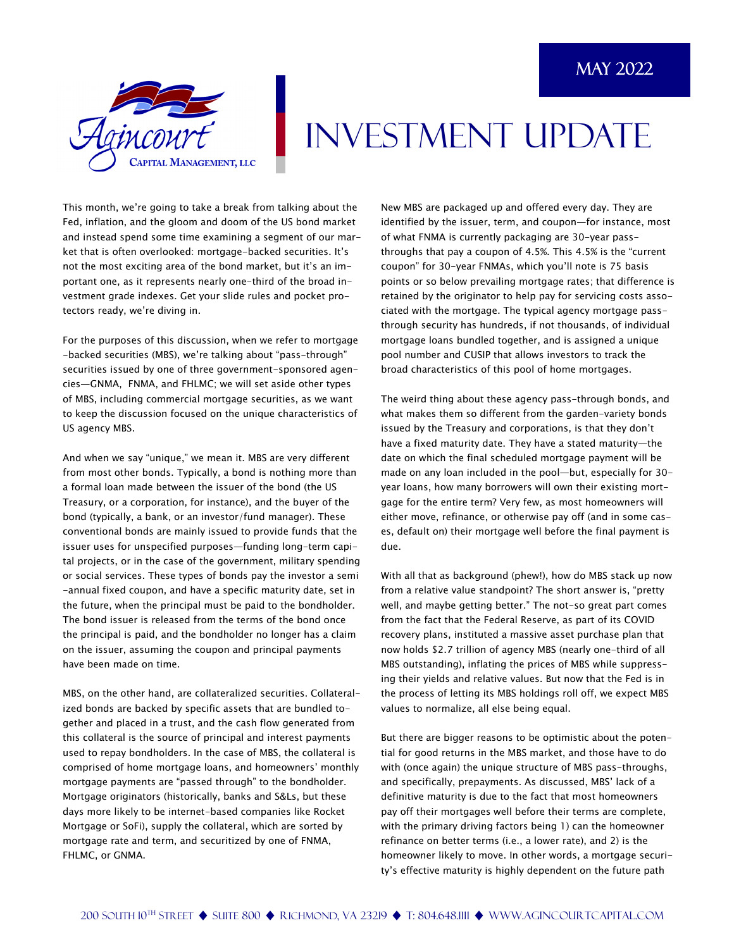

## INVESTMENT UPDATE

This month, we're going to take a break from talking about the Fed, inflation, and the gloom and doom of the US bond market and instead spend some time examining a segment of our market that is often overlooked: mortgage-backed securities. It's not the most exciting area of the bond market, but it's an important one, as it represents nearly one-third of the broad investment grade indexes. Get your slide rules and pocket protectors ready, we're diving in.

For the purposes of this discussion, when we refer to mortgage -backed securities (MBS), we're talking about "pass-through" securities issued by one of three government-sponsored agencies—GNMA, FNMA, and FHLMC; we will set aside other types of MBS, including commercial mortgage securities, as we want to keep the discussion focused on the unique characteristics of US agency MBS.

And when we say "unique," we mean it. MBS are very different from most other bonds. Typically, a bond is nothing more than a formal loan made between the issuer of the bond (the US Treasury, or a corporation, for instance), and the buyer of the bond (typically, a bank, or an investor/fund manager). These conventional bonds are mainly issued to provide funds that the issuer uses for unspecified purposes—funding long-term capital projects, or in the case of the government, military spending or social services. These types of bonds pay the investor a semi -annual fixed coupon, and have a specific maturity date, set in the future, when the principal must be paid to the bondholder. The bond issuer is released from the terms of the bond once the principal is paid, and the bondholder no longer has a claim on the issuer, assuming the coupon and principal payments have been made on time.

MBS, on the other hand, are collateralized securities. Collateralized bonds are backed by specific assets that are bundled together and placed in a trust, and the cash flow generated from this collateral is the source of principal and interest payments used to repay bondholders. In the case of MBS, the collateral is comprised of home mortgage loans, and homeowners' monthly mortgage payments are "passed through" to the bondholder. Mortgage originators (historically, banks and S&Ls, but these days more likely to be internet-based companies like Rocket Mortgage or SoFi), supply the collateral, which are sorted by mortgage rate and term, and securitized by one of FNMA, FHLMC, or GNMA.

New MBS are packaged up and offered every day. They are identified by the issuer, term, and coupon—for instance, most of what FNMA is currently packaging are 30-year passthroughs that pay a coupon of 4.5%. This 4.5% is the "current coupon" for 30-year FNMAs, which you'll note is 75 basis points or so below prevailing mortgage rates; that difference is retained by the originator to help pay for servicing costs associated with the mortgage. The typical agency mortgage passthrough security has hundreds, if not thousands, of individual mortgage loans bundled together, and is assigned a unique pool number and CUSIP that allows investors to track the broad characteristics of this pool of home mortgages.

The weird thing about these agency pass-through bonds, and what makes them so different from the garden-variety bonds issued by the Treasury and corporations, is that they don't have a fixed maturity date. They have a stated maturity—the date on which the final scheduled mortgage payment will be made on any loan included in the pool—but, especially for 30 year loans, how many borrowers will own their existing mortgage for the entire term? Very few, as most homeowners will either move, refinance, or otherwise pay off (and in some cases, default on) their mortgage well before the final payment is due.

With all that as background (phew!), how do MBS stack up now from a relative value standpoint? The short answer is, "pretty well, and maybe getting better." The not-so great part comes from the fact that the Federal Reserve, as part of its COVID recovery plans, instituted a massive asset purchase plan that now holds \$2.7 trillion of agency MBS (nearly one-third of all MBS outstanding), inflating the prices of MBS while suppressing their yields and relative values. But now that the Fed is in the process of letting its MBS holdings roll off, we expect MBS values to normalize, all else being equal.

But there are bigger reasons to be optimistic about the potential for good returns in the MBS market, and those have to do with (once again) the unique structure of MBS pass-throughs, and specifically, prepayments. As discussed, MBS' lack of a definitive maturity is due to the fact that most homeowners pay off their mortgages well before their terms are complete, with the primary driving factors being 1) can the homeowner refinance on better terms (i.e., a lower rate), and 2) is the homeowner likely to move. In other words, a mortgage security's effective maturity is highly dependent on the future path